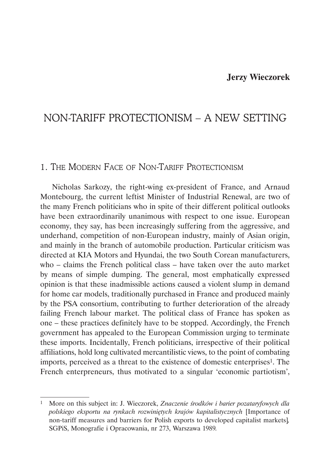# **Jerzy Wieczorek**

# NON-TARIFF PROTECTIONISM – A NEW SETTING

# 1. THE MODERN FACE OF NON-TARIFF PROTECTIONISM

Nicholas Sarkozy, the right-wing ex-president of France, and Arnaud Montebourg, the current leftist Minister of Industrial Renewal, are two of the many French politicians who in spite of their different political outlooks have been extraordinarily unanimous with respect to one issue. European economy, they say, has been increasingly suffering from the aggressive, and underhand, competition of non-European industry, mainly of Asian origin, and mainly in the branch of automobile production. Particular criticism was directed at KIA Motors and Hyundai, the two South Corean manufacturers, who – claims the French political class – have taken over the auto market by means of simple dumping. The general, most emphatically expressed opinion is that these inadmissible actions caused a violent slump in demand for home car models, traditionally purchased in France and produced mainly by the PSA consortium, contributing to further deterioration of the already failing French labour market. The political class of France has spoken as one – these practices definitely have to be stopped. Accordingly, the French government has appealed to the European Commission urging to terminate these imports. Incidentally, French politicians, irrespective of their political affiliations, hold long cultivated mercantilistic views, to the point of combating imports, perceived as a threat to the existence of domestic enterprises1. The French enterpreneurs, thus motivated to a singular 'economic partiotism',

<sup>1</sup> More on this subject in: J. Wieczorek, *Znaczenie środków i barier pozataryfowych dla polskiego eksportu na rynkach rozwiniętych krajów kapitalistycznych* [Importance of non-tariff measures and barriers for Polish exports to developed capitalist markets]*,*  SGPiS, Monografie i Opracowania, nr 273, Warszawa 1989*.*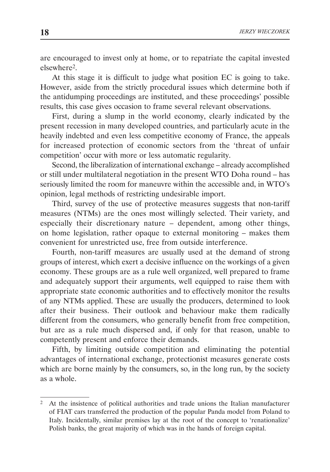are encouraged to invest only at home, or to repatriate the capital invested elsewhere2.

At this stage it is difficult to judge what position EC is going to take. However, aside from the strictly procedural issues which determine both if the antidumping proceedings are instituted, and these proceedings' possible results, this case gives occasion to frame several relevant observations.

First, during a slump in the world economy, clearly indicated by the present recession in many developed countries, and particularly acute in the heavily indebted and even less competitive economy of France, the appeals for increased protection of economic sectors from the 'threat of unfair competition' occur with more or less automatic regularity.

Second, the liberalization of international exchange – already accomplished or still under multilateral negotiation in the present WTO Doha round – has seriously limited the room for maneuvre within the accessible and, in WTO's opinion, legal methods of restricting undesirable import.

Third, survey of the use of protective measures suggests that non-tariff measures (NTMs) are the ones most willingly selected. Their variety, and especially their discretionary nature – dependent, among other things, on home legislation, rather opaque to external monitoring – makes them convenient for unrestricted use, free from outside interference.

Fourth, non-tariff measures are usually used at the demand of strong groups of interest, which exert a decisive influence on the workings of a given economy. These groups are as a rule well organized, well prepared to frame and adequately support their arguments, well equipped to raise them with appropriate state economic authorities and to effectively monitor the results of any NTMs applied. These are usually the producers, determined to look after their business. Their outlook and behaviour make them radically different from the consumers, who generally benefit from free competition, but are as a rule much dispersed and, if only for that reason, unable to competently present and enforce their demands.

Fifth, by limiting outside competition and eliminating the potential advantages of international exchange, protectionist measures generate costs which are borne mainly by the consumers, so, in the long run, by the society as a whole.

<sup>2</sup> At the insistence of political authorities and trade unions the Italian manufacturer of FIAT cars transferred the production of the popular Panda model from Poland to Italy. Incidentally, similar premises lay at the root of the concept to 'renationalize' Polish banks, the great majority of which was in the hands of foreign capital.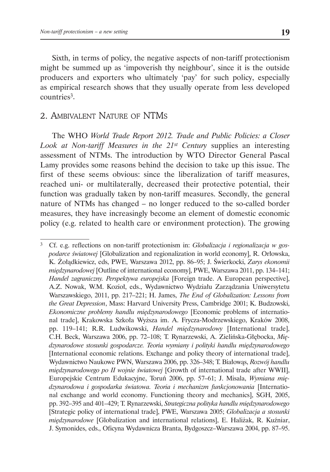Sixth, in terms of policy, the negative aspects of non-tariff protectionism might be summed up as 'impoverish thy neighbour', since it is the outside producers and exporters who ultimately 'pay' for such policy, especially as empirical research shows that they usually operate from less developed countries3.

# 2. Ambivalent Nature of NTMs

The WHO *World Trade Report 2012. Trade and Public Policies: a Closer Look at Non-tariff Measures in the 21st Century* supplies an interesting assessment of NTMs. The introduction by WTO Director General Pascal Lamy provides some reasons behind the decision to take up this issue. The first of these seems obvious: since the liberalization of tariff measures, reached uni- or multilaterally, decreased their protective potential, their function was gradually taken by non-tariff measures. Secondly, the general nature of NTMs has changed – no longer reduced to the so-called border measures, they have increasingly become an element of domestic economic policy (e.g. related to health care or environment protection). The growing

<sup>3</sup> Cf. e.g. reflections on non-tariff protectionism in: *Globalizacja i regionalizacja w gospodarce światowej* [Globalization and regionalization in world economy], R. Orłowska, K. Żołądkiewicz, eds, PWE, Warszawa 2012, pp. 86–95; J. Świerkocki, *Zarys ekonomii międzynarodowej* [Outline of international economy], PWE, Warszawa 2011, pp. 134–141; *Handel zagraniczny. Perspektywa europejska* [Foreign trade. A European perspective], A.Z. Nowak, W.M. Kozioł, eds., Wydawnictwo Wydziału Zarządzania Uniwersytetu Warszawskiego, 2011, pp. 217–221; H. James, *The End of Globalization: Lessons from the Great Depression*, Mass: Harvard University Press, Cambridge 2001; K. Budzowski, *Ekonomiczne problemy handlu międzynarodowego* [Economic problems of international trade], Krakowska Szkoła Wyższa im. A. Frycza-Modrzewskiego, Kraków 2008, pp. 119–141; R.R. Ludwikowski, *Handel międzynarodowy* [International trade], C.H. Beck, Warszawa 2006, pp. 72–108; T. Rynarzewski, A. Zielińska-Głębocka, *Międzynarodowe stosunki gospodarcze. Teoria wymiany i polityki handlu międzynarodowego*  [International economic relations. Exchange and policy theory of international trade], Wydawnictwo Naukowe PWN, Warszawa 2006, pp. 326–348; T. Białowąs, *Rozwój handlu międzynarodowego po II wojnie światowej* [Growth of international trade after WWII], Europejskie Centrum Edukacyjne, Toruń 2006, pp. 57–61; J. Misala, *Wymiana międzynarodowa i gospodarka światowa. Teoria i mechanizm funkcjonowania* [International exchange and world economy. Functioning theory and mechanics], SGH, 2005, pp. 392–395 and 401–429; T. Rynarzewski, *Strategiczna polityka handlu międzynarodowego*  [Strategic policy of international trade], PWE, Warszawa 2005; *Globalizacja a stosunki międzynarodowe* [Globalization and international relations], E. Haliżak, R. Kuźniar, J. Symonides, eds., Oficyna Wydawnicza Branta, Bydgoszcz–Warszawa 2004, pp. 87–95.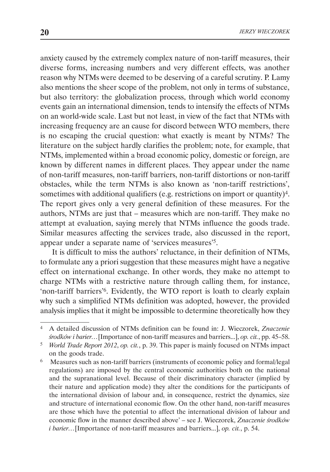anxiety caused by the extremely complex nature of non-tariff measures, their diverse forms, increasing numbers and very different effects, was another reason why NTMs were deemed to be deserving of a careful scrutiny. P. Lamy also mentions the sheer scope of the problem, not only in terms of substance, but also territory: the globalization process, through which world economy events gain an international dimension, tends to intensify the effects of NTMs on an world-wide scale. Last but not least, in view of the fact that NTMs with increasing frequency are an cause for discord between WTO members, there is no escaping the crucial question: what exactly is meant by NTMs? The literature on the subject hardly clarifies the problem; note, for example, that NTMs, implemented within a broad economic policy, domestic or foreign, are known by different names in different places. They appear under the name of non-tariff measures, non-tariff barriers, non-tariff distortions or non-tariff obstacles, while the term NTMs is also known as 'non-tariff restrictions', sometimes with additional qualifiers (e.g. restrictions on import or quantity)4. The report gives only a very general definition of these measures. For the authors, NTMs are just that – measures which are non-tariff. They make no attempt at evaluation, saying merely that NTMs influence the goods trade. Similar measures affecting the services trade, also discussed in the report, appear under a separate name of 'services measures'5.

It is difficult to miss the authors' reluctance, in their definition of NTMs, to formulate any a priori suggestion that these measures might have a negative effect on international exchange. In other words, they make no attempt to charge NTMs with a restrictive nature through calling them, for instance, 'non-tariff barriers'6. Evidently, the WTO report is loath to clearly explain why such a simplified NTMs definition was adopted, however, the provided analysis implies that it might be impossible to determine theoretically how they

<sup>4</sup> A detailed discussion of NTMs definition can be found in: J. Wieczorek, *Znaczenie środków i barier…*[Importance of non-tariff measures and barriers...], *op. cit.*, pp. 45–58.

<sup>5</sup> *World Trade Report 2012*, *op. cit.*, p. 39. This paper is mainly focused on NTMs impact on the goods trade.

<sup>6</sup> Measures such as non-tariff barriers (instruments of economic policy and formal/legal regulations) are imposed by the central economic authorities both on the national and the supranational level. Because of their discriminatory character (implied by their nature and application mode) they alter the conditions for the participants of the international division of labour and, in consequence, restrict the dynamics, size and structure of international economic flow. On the other hand, non-tariff measures are those which have the potential to affect the international division of labour and economic flow in the manner described above' – see J. Wieczorek, *Znaczenie środków i barier…*[Importance of non-tariff measures and barriers...], *op. cit.*, p. 54.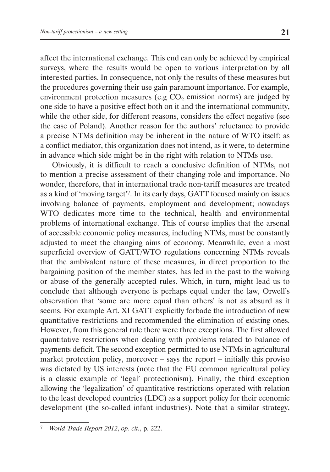affect the international exchange. This end can only be achieved by empirical surveys, where the results would be open to various interpretation by all interested parties. In consequence, not only the results of these measures but the procedures governing their use gain paramount importance. For example, environment protection measures (e.g  $CO<sub>2</sub>$  emission norms) are judged by one side to have a positive effect both on it and the international community, while the other side, for different reasons, considers the effect negative (see the case of Poland). Another reason for the authors' reluctance to provide a precise NTMs definition may be inherent in the nature of WTO itself: as a conflict mediator, this organization does not intend, as it were, to determine in advance which side might be in the right with relation to NTMs use.

Obviously, it is difficult to reach a conclusive definition of NTMs, not to mention a precise assessment of their changing role and importance. No wonder, therefore, that in international trade non-tariff measures are treated as a kind of 'moving target'7. In its early days, GATT focused mainly on issues involving balance of payments, employment and development; nowadays WTO dedicates more time to the technical, health and environmental problems of international exchange. This of course implies that the arsenal of accessible economic policy measures, including NTMs, must be constantly adjusted to meet the changing aims of economy. Meanwhile, even a most superficial overview of GATT/WTO regulations concerning NTMs reveals that the ambivalent nature of these measures, in direct proportion to the bargaining position of the member states, has led in the past to the waiving or abuse of the generally accepted rules. Which, in turn, might lead us to conclude that although everyone is perhaps equal under the law, Orwell's observation that 'some are more equal than others' is not as absurd as it seems. For example Art. XI GATT explicitly forbade the introduction of new quantitative restrictions and recommended the elimination of existing ones. However, from this general rule there were three exceptions. The first allowed quantitative restrictions when dealing with problems related to balance of payments deficit. The second exception permitted to use NTMs in agricultural market protection policy, moreover – says the report – initially this proviso was dictated by US interests (note that the EU common agricultural policy is a classic example of 'legal' protectionism). Finally, the third exception allowing the 'legalization' of quantitative restrictions operated with relation to the least developed countries (LDC) as a support policy for their economic development (the so-called infant industries). Note that a similar strategy,

<sup>7</sup> *World Trade Report 2012*, *op. cit.*, p. 222.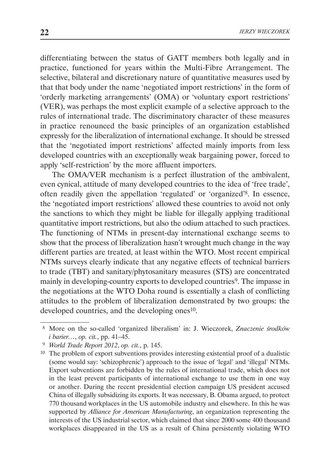differentiating between the status of GATT members both legally and in practice, functioned for years within the Multi-Fibre Arrangement. The selective, bilateral and discretionary nature of quantitative measures used by that that body under the name 'negotiated import restrictions' in the form of 'orderly marketing arrangements' (OMA) or 'voluntary export restrictions' (VER), was perhaps the most explicit example of a selective approach to the rules of international trade. The discriminatory character of these measures in practice renounced the basic principles of an organization established expressly for the liberalization of international exchange. It should be stressed that the 'negotiated import restrictions' affected mainly imports from less developed countries with an exceptionally weak bargaining power, forced to apply 'self-restriction' by the more affluent importers.

The OMA/VER mechanism is a perfect illustration of the ambivalent, even cynical, attitude of many developed countries to the idea of 'free trade', often readily given the appellation 'regulated' or 'organized'8. In essence, the 'negotiated import restrictions' allowed these countries to avoid not only the sanctions to which they might be liable for illegally applying traditional quantitative import restrictions, but also the odium attached to such practices. The functioning of NTMs in present-day international exchange seems to show that the process of liberalization hasn't wrought much change in the way different parties are treated, at least within the WTO. Most recent empirical NTMs surveys clearly indicate that any negative effects of technical barriers to trade (TBT) and sanitary/phytosanitary measures (STS) are concentrated mainly in developing-country exports to developed countries<sup>9</sup>. The impasse in the negotiations at the WTO Doha round is essentially a clash of conflicting attitudes to the problem of liberalization demonstrated by two groups: the developed countries, and the developing ones<sup>10</sup>.

<sup>8</sup> More on the so-called 'organized liberalism' in: J. Wieczorek, *Znaczenie środków i barier…*, *op. cit.*, pp. 41–45.

<sup>9</sup> *World Trade Report 2012*, *op. cit.*, p. 145.

<sup>10</sup> The problem of export subventions provides interesting existential proof of a dualistic (some would say: 'schizophrenic') approach to the issue of 'legal' and 'illegal' NTMs. Export subventions are forbidden by the rules of international trade, which does not in the least prevent participants of international exchange to use them in one way or another. During the recent presidential election campaign US president accused China of illegally subsidizing its exports. It was necessary, B. Obama argued, to protect 770 thousand workplaces in the US automobile industry and elsewhere. In this he was supported by *Alliance for American Manufacturing*, an organization representing the interests of the US industrial sector, which claimed that since 2000 some 400 thousand workplaces disappeared in the US as a result of China persistently violating WTO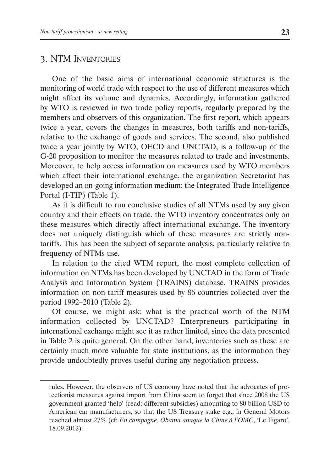# 3. NTM Inventories

One of the basic aims of international economic structures is the monitoring of world trade with respect to the use of different measures which might affect its volume and dynamics. Accordingly, information gathered by WTO is reviewed in two trade policy reports, regularly prepared by the members and observers of this organization. The first report, which appears twice a year, covers the changes in measures, both tariffs and non-tariffs, relative to the exchange of goods and services. The second, also published twice a year jointly by WTO, OECD and UNCTAD, is a follow-up of the G-20 proposition to monitor the measures related to trade and investments. Moreover, to help access information on measures used by WTO members which affect their international exchange, the organization Secretariat has developed an on-going information medium: the Integrated Trade Intelligence Portal (I-TIP) (Table 1).

As it is difficult to run conclusive studies of all NTMs used by any given country and their effects on trade, the WTO inventory concentrates only on these measures which directly affect international exchange. The inventory does not uniquely distinguish which of these measures are strictly nontariffs. This has been the subject of separate analysis, particularly relative to frequency of NTMs use.

In relation to the cited WTM report, the most complete collection of information on NTMs has been developed by UNCTAD in the form of Trade Analysis and Information System (TRAINS) database. TRAINS provides information on non-tariff measures used by 86 countries collected over the period 1992–2010 (Table 2).

Of course, we might ask: what is the practical worth of the NTM information collected by UNCTAD? Enterpreneurs participating in international exchange might see it as rather limited, since the data presented in Table 2 is quite general. On the other hand, inventories such as these are certainly much more valuable for state institutions, as the information they provide undoubtedly proves useful during any negotiation process.

rules. However, the observers of US economy have noted that the advocates of protectionist measures against import from China seem to forget that since 2008 the US government granted 'help' (read: different subsidies) amounting to 80 billion USD to American car manufacturers, so that the US Treasury stake e.g., in General Motors reached almost 27% (cf: *En campagne, Obama attaque la Chine à l'OMC*, 'Le Figaro', 18.09.2012).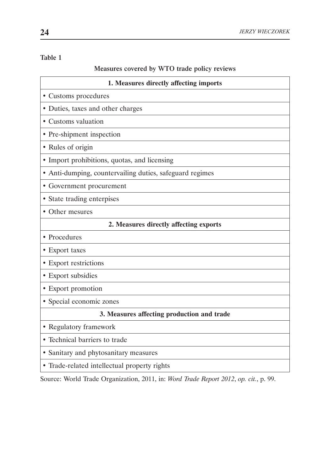### Table 1

## Measures covered by WTO trade policy reviews

| 1. Measures directly affecting imports                   |  |  |  |  |
|----------------------------------------------------------|--|--|--|--|
| • Customs procedures                                     |  |  |  |  |
| • Duties, taxes and other charges                        |  |  |  |  |
| • Customs valuation                                      |  |  |  |  |
| • Pre-shipment inspection                                |  |  |  |  |
| • Rules of origin                                        |  |  |  |  |
| • Import prohibitions, quotas, and licensing             |  |  |  |  |
| • Anti-dumping, countervailing duties, safeguard regimes |  |  |  |  |
| • Government procurement                                 |  |  |  |  |
| • State trading enterpises                               |  |  |  |  |
| • Other mesures                                          |  |  |  |  |
| 2. Measures directly affecting exports                   |  |  |  |  |
| • Procedures                                             |  |  |  |  |
| • Export taxes                                           |  |  |  |  |
| • Export restrictions                                    |  |  |  |  |
| • Export subsidies                                       |  |  |  |  |
| • Export promotion                                       |  |  |  |  |
| • Special economic zones                                 |  |  |  |  |
| 3. Measures affecting production and trade               |  |  |  |  |
| • Regulatory framework                                   |  |  |  |  |
| • Technical barriers to trade                            |  |  |  |  |
| • Sanitary and phytosanitary measures                    |  |  |  |  |
| • Trade-related intellectual property rights             |  |  |  |  |

Source: World Trade Organization, 2011, in: *Word Trade Report 2012*, *op. cit.*, p. 99.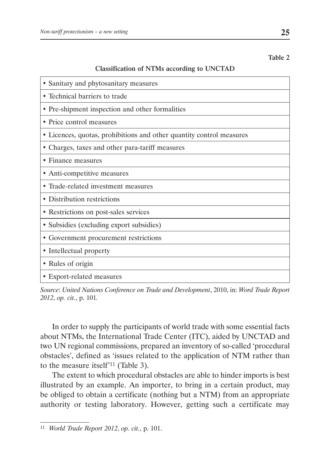Table 2

### Classification of NTMs according to UNCTAD

- Sanitary and phytosanitary measures • Technical barriers to trade • Pre-shipment inspection and other formalities • Price control measures • Licences, quotas, prohibitions and other quantity control measures • Charges, taxes and other para-tariff measures • Finance measures • Anti-competitive measures • Trade-related investment measures • Distribution restrictions • Restrictions on post-sales services • Subsidies (excluding export subsidies)
- Government procurement restrictions
- Intellectual property
- Rules of origin
- Export-related measures

*Source*: *United Nations Conference on Trade and Development*, 2010, in: *Word Trade Report 2012*, *op. cit.*, p. 101*.*

In order to supply the participants of world trade with some essential facts about NTMs, the International Trade Center (ITC), aided by UNCTAD and two UN regional commissions, prepared an inventory of so-called 'procedural obstacles', defined as 'issues related to the application of NTM rather than to the measure itself'<sup>11</sup> (Table 3).

The extent to which procedural obstacles are able to hinder imports is best illustrated by an example. An importer, to bring in a certain product, may be obliged to obtain a certificate (nothing but a NTM) from an appropriate authority or testing laboratory. However, getting such a certificate may

<sup>11</sup> *World Trade Report 2012*, *op. cit.*, p. 101.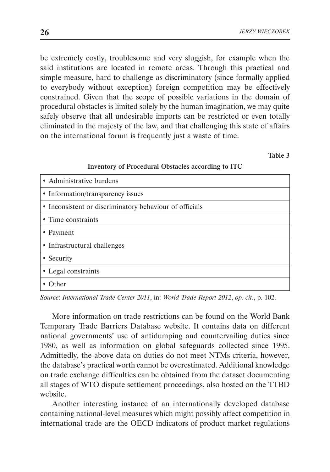be extremely costly, troublesome and very sluggish, for example when the said institutions are located in remote areas. Through this practical and simple measure, hard to challenge as discriminatory (since formally applied to everybody without exception) foreign competition may be effectively constrained. Given that the scope of possible variations in the domain of procedural obstacles is limited solely by the human imagination, we may quite safely observe that all undesirable imports can be restricted or even totally eliminated in the majesty of the law, and that challenging this state of affairs on the international forum is frequently just a waste of time.

Table 3

### Inventory of Procedural Obstacles according to ITC

| • Administrative burdens                                |
|---------------------------------------------------------|
| • Information/transparency issues                       |
| • Inconsistent or discriminatory behaviour of officials |
| • Time constraints                                      |
| • Payment                                               |
| • Infrastructural challenges                            |
| • Security                                              |
| • Legal constraints                                     |
| Other                                                   |

*Source*: *International Trade Center 2011*, in: *World Trade Report 2012*, *op. cit.*, p. 102.

More information on trade restrictions can be found on the World Bank Temporary Trade Barriers Database website. It contains data on different national governments' use of antidumping and countervailing duties since 1980, as well as information on global safeguards collected since 1995. Admittedly, the above data on duties do not meet NTMs criteria, however, the database's practical worth cannot be overestimated. Additional knowledge on trade exchange difficulties can be obtained from the dataset documenting all stages of WTO dispute settlement proceedings, also hosted on the TTBD website.

Another interesting instance of an internationally developed database containing national-level measures which might possibly affect competition in international trade are the OECD indicators of product market regulations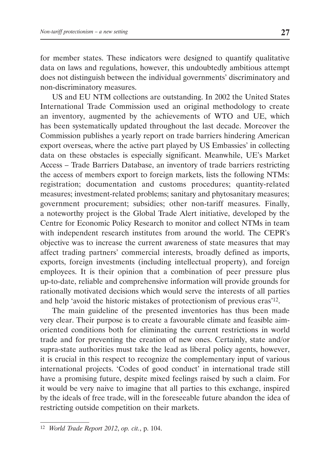for member states. These indicators were designed to quantify qualitative data on laws and regulations, however, this undoubtedly ambitious attempt does not distinguish between the individual governments' discriminatory and non-discriminatory measures.

US and EU NTM collections are outstanding. In 2002 the United States International Trade Commission used an original methodology to create an inventory, augmented by the achievements of WTO and UE, which has been systematically updated throughout the last decade. Moreover the Commission publishes a yearly report on trade barriers hindering American export overseas, where the active part played by US Embassies' in collecting data on these obstacles is especially significant. Meanwhile, UE's Market Access – Trade Barriers Database, an inventory of trade barriers restricting the access of members export to foreign markets, lists the following NTMs: registration; documentation and customs procedures; quantity-related measures; investment-related problems; sanitary and phytosanitary measures; government procurement; subsidies; other non-tariff measures. Finally, a noteworthy project is the Global Trade Alert initiative, developed by the Centre for Economic Policy Research to monitor and collect NTMs in team with independent research institutes from around the world. The CEPR's objective was to increase the current awareness of state measures that may affect trading partners' commercial interests, broadly defined as imports, exports, foreign investments (including intellectual property), and foreign employees. It is their opinion that a combination of peer pressure plus up-to-date, reliable and comprehensive information will provide grounds for rationally motivated decisions which would serve the interests of all parties and help 'avoid the historic mistakes of protectionism of previous eras'<sup>12</sup>.

The main guideline of the presented inventories has thus been made very clear. Their purpose is to create a favourable climate and feasible aimoriented conditions both for eliminating the current restrictions in world trade and for preventing the creation of new ones. Certainly, state and/or supra-state authorities must take the lead as liberal policy agents, however, it is crucial in this respect to recognize the complementary input of various international projects. 'Codes of good conduct' in international trade still have a promising future, despite mixed feelings raised by such a claim. For it would be very naive to imagine that all parties to this exchange, inspired by the ideals of free trade, will in the foreseeable future abandon the idea of restricting outside competition on their markets.

<sup>12</sup> *World Trade Report 2012*, *op. cit.*, p. 104.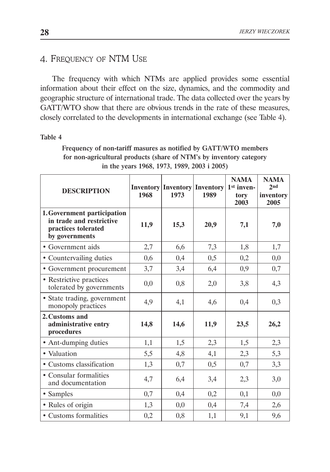# 4. Frequency of NTM Use

The frequency with which NTMs are applied provides some essential information about their effect on the size, dynamics, and the commodity and geographic structure of international trade. The data collected over the years by GATT/WTO show that there are obvious trends in the rate of these measures, closely correlated to the developments in international exchange (see Table 4).

#### Table 4

Frequency of non-tariff masures as notified by GATT/WTO members for non-agricultural products (share of NTM's by inventory category in the years 1968, 1973, 1989, 2003 i 2005)

| <b>DESCRIPTION</b>                                                                               | 1968 | <b>Inventory Inventory Inventory</b><br>1973 | 1989 | <b>NAMA</b><br>1 <sup>st</sup> inven-<br>tory<br>2003 | <b>NAMA</b><br>2 <sub>nd</sub><br>inventory<br>2005 |
|--------------------------------------------------------------------------------------------------|------|----------------------------------------------|------|-------------------------------------------------------|-----------------------------------------------------|
| 1. Government participation<br>in trade and restrictive<br>practices tolerated<br>by governments | 11,9 | 15,3                                         | 20,9 | 7,1                                                   | 7,0                                                 |
| • Government aids                                                                                | 2,7  | 6,6                                          | 7,3  | 1,8                                                   | 1,7                                                 |
| • Countervailing duties                                                                          | 0,6  | 0,4                                          | 0,5  | 0,2                                                   | 0,0                                                 |
| • Government procurement                                                                         | 3,7  | 3,4                                          | 6,4  | 0,9                                                   | 0,7                                                 |
| • Restrictive practices<br>tolerated by governments                                              | 0,0  | 0,8                                          | 2,0  | 3,8                                                   | 4,3                                                 |
| • State trading, government<br>monopoly practices                                                | 4,9  | 4,1                                          | 4,6  | 0,4                                                   | 0,3                                                 |
| 2. Customs and<br>administrative entry<br>procedures                                             | 14,8 | 14,6                                         | 11,9 | 23,5                                                  | 26,2                                                |
| • Ant-dumping duties                                                                             | 1,1  | 1,5                                          | 2,3  | 1,5                                                   | 2,3                                                 |
| • Valuation                                                                                      | 5,5  | 4,8                                          | 4,1  | 2,3                                                   | 5,3                                                 |
| · Customs classification                                                                         | 1,3  | 0,7                                          | 0,5  | 0,7                                                   | 3,3                                                 |
| • Consular formalities<br>and documentation                                                      | 4,7  | 6,4                                          | 3,4  | 2,3                                                   | 3,0                                                 |
| • Samples                                                                                        | 0,7  | 0,4                                          | 0,2  | 0,1                                                   | 0,0                                                 |
| • Rules of origin                                                                                | 1,3  | 0,0                                          | 0,4  | 7,4                                                   | 2,6                                                 |
| • Customs formalities                                                                            | 0,2  | 0,8                                          | 1,1  | 9,1                                                   | 9,6                                                 |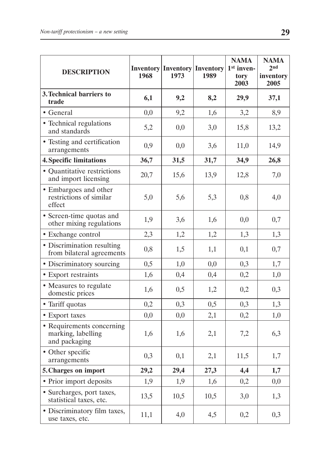| <b>DESCRIPTION</b>                                               | 1968 | <b>Inventory Inventory Inventory</b><br>1973 | 1989 | <b>NAMA</b><br>1 <sup>st</sup> inven-<br>tory<br>2003 | <b>NAMA</b><br>2 <sub>nd</sub><br>inventory<br>2005 |
|------------------------------------------------------------------|------|----------------------------------------------|------|-------------------------------------------------------|-----------------------------------------------------|
| 3. Technical barriers to<br>trade                                | 6,1  | 9,2                                          | 8,2  | 29,9                                                  | 37,1                                                |
| • General                                                        | 0,0  | 9,2                                          | 1,6  | 3,2                                                   | 8,9                                                 |
| • Technical regulations<br>and standards                         | 5,2  | 0,0                                          | 3,0  | 15,8                                                  | 13,2                                                |
| • Testing and certification<br>arrangements                      | 0,9  | 0,0                                          | 3,6  | 11,0                                                  | 14,9                                                |
| <b>4. Specific limitations</b>                                   | 36,7 | 31,5                                         | 31,7 | 34,9                                                  | 26,8                                                |
| • Quantitative restrictions<br>and import licensing              | 20,7 | 15,6                                         | 13,9 | 12,8                                                  | 7,0                                                 |
| • Embargoes and other<br>restrictions of similar<br>effect       | 5,0  | 5,6                                          | 5,3  | 0,8                                                   | 4,0                                                 |
| • Screen-time quotas and<br>other mixing regulations             | 1,9  | 3,6                                          | 1,6  | 0,0                                                   | 0,7                                                 |
| • Exchange control                                               | 2,3  | 1,2                                          | 1,2  | 1,3                                                   | 1,3                                                 |
| • Discrimination resulting<br>from bilateral agreements          | 0,8  | 1,5                                          | 1,1  | 0,1                                                   | 0,7                                                 |
| • Discriminatory sourcing                                        | 0,5  | 1,0                                          | 0,0  | 0,3                                                   | 1,7                                                 |
| • Export restraints                                              | 1,6  | 0,4                                          | 0,4  | 0,2                                                   | 1,0                                                 |
| • Measures to regulate<br>domestic prices                        | 1,6  | 0,5                                          | 1,2  | 0,2                                                   | 0,3                                                 |
| • Tariff quotas                                                  | 0,2  | 0,3                                          | 0,5  | 0,3                                                   | 1,3                                                 |
| • Export taxes                                                   | 0,0  | 0,0                                          | 2,1  | 0,2                                                   | 1,0                                                 |
| • Requirements concerning<br>marking, labelling<br>and packaging | 1,6  | 1,6                                          | 2,1  | 7,2                                                   | 6,3                                                 |
| • Other specific<br>arrangements                                 | 0,3  | 0,1                                          | 2,1  | 11,5                                                  | 1,7                                                 |
| 5. Charges on import                                             | 29,2 | 29,4                                         | 27,3 | 4,4                                                   | 1,7                                                 |
| • Prior import deposits                                          | 1,9  | 1,9                                          | 1,6  | 0,2                                                   | 0,0                                                 |
| · Surcharges, port taxes,<br>statistical taxes, etc.             | 13,5 | 10,5                                         | 10,5 | 3,0                                                   | 1,3                                                 |
| • Discriminatory film taxes,<br>use taxes, etc.                  | 11,1 | 4,0                                          | 4,5  | 0,2                                                   | 0,3                                                 |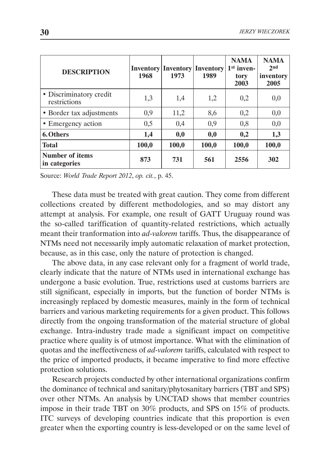| <b>DESCRIPTION</b>                      | <b>Inventory</b><br>1968 | <b>Inventory</b><br>1973 | <b>Inventory</b><br>1989 | <b>NAMA</b><br>1 <sup>st</sup> inven-<br>tory<br>2003 | <b>NAMA</b><br>2 <sub>nd</sub><br>inventory<br>2005 |
|-----------------------------------------|--------------------------|--------------------------|--------------------------|-------------------------------------------------------|-----------------------------------------------------|
| • Discriminatory credit<br>restrictions | 1,3                      | 1,4                      | 1,2                      | 0,2                                                   | 0,0                                                 |
| • Border tax adjustments                | 0,9                      | 11,2                     | 8,6                      | 0,2                                                   | 0,0                                                 |
| • Emergency action                      | 0,5                      | 0,4                      | 0,9                      | 0,8                                                   | 0,0                                                 |
| 6. Others                               | 1,4                      | 0,0                      | 0,0                      | 0,2                                                   | 1,3                                                 |
| <b>Total</b>                            | 100,0                    | 100,0                    | 100,0                    | 100,0                                                 | 100,0                                               |
| Number of items<br>in categories        | 873                      | 731                      | 561                      | 2556                                                  | 302                                                 |

Source: *World Trade Report 2012*, *op. cit.*, p. 45.

These data must be treated with great caution. They come from different collections created by different methodologies, and so may distort any attempt at analysis. For example, one result of GATT Uruguay round was the so-called tariffication of quantity-related restrictions, which actually meant their tranformation into *ad-valorem* tariffs. Thus, the disappearance of NTMs need not necessarily imply automatic relaxation of market protection, because, as in this case, only the nature of protection is changed.

The above data, in any case relevant only for a fragment of world trade, clearly indicate that the nature of NTMs used in international exchange has undergone a basic evolution. True, restrictions used at customs barriers are still significant, especially in imports, but the function of border NTMs is increasingly replaced by domestic measures, mainly in the form of technical barriers and various marketing requirements for a given product. This follows directly from the ongoing transformation of the material structure of global exchange. Intra-industry trade made a significant impact on competitive practice where quality is of utmost importance. What with the elimination of quotas and the ineffectiveness of *ad-valorem* tariffs, calculated with respect to the price of imported products, it became imperative to find more effective protection solutions.

Research projects conducted by other international organizations confirm the dominance of technical and sanitary/phytosanitary barriers (TBT and SPS) over other NTMs. An analysis by UNCTAD shows that member countries impose in their trade TBT on 30% products, and SPS on 15% of products. ITC surveys of developing countries indicate that this proportion is even greater when the exporting country is less-developed or on the same level of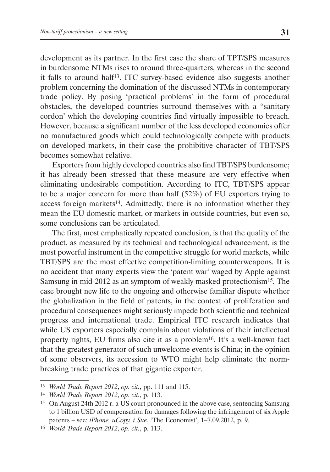development as its partner. In the first case the share of TPT/SPS measures in burdensome NTMs rises to around three-quarters, whereas in the second it falls to around half<sup>13</sup>. ITC survey-based evidence also suggests another problem concerning the domination of the discussed NTMs in contemporary trade policy. By posing 'practical problems' in the form of procedural obstacles, the developed countries surround themselves with a "sanitary cordon' which the developing countries find virtually impossible to breach. However, because a significant number of the less developed economies offer no manufactured goods which could technologically compete with products on developed markets, in their case the prohibitive character of TBT/SPS becomes somewhat relative.

Exporters from highly developed countries also find TBT/SPS burdensome; it has already been stressed that these measure are very effective when eliminating undesirable competition. According to ITC, TBT/SPS appear to be a major concern for more than half (52%) of EU exporters trying to access foreign markets14. Admittedly, there is no information whether they mean the EU domestic market, or markets in outside countries, but even so, some conclusions can be articulated.

The first, most emphatically repeated conclusion, is that the quality of the product, as measured by its technical and technological advancement, is the most powerful instrument in the competitive struggle for world markets, while TBT/SPS are the most effective competition-limiting counterweapons. It is no accident that many experts view the 'patent war' waged by Apple against Samsung in mid-2012 as an symptom of weakly masked protectionism15. The case brought new life to the ongoing and otherwise familiar dispute whether the globalization in the field of patents, in the context of proliferation and procedural consequences might seriously impede both scientific and technical progress and international trade. Empirical ITC research indicates that while US exporters especially complain about violations of their intellectual property rights, EU firms also cite it as a problem16. It's a well-known fact that the greatest generator of such unwelcome events is China; in the opinion of some observers, its accession to WTO might help eliminate the normbreaking trade practices of that gigantic exporter.

<sup>13</sup> *World Trade Report 2012*, *op. cit.*, pp. 111 and 115.

<sup>14</sup> *World Trade Report 2012*, *op. cit.*, p. 113.

<sup>15</sup> On August 24th 2012 r. a US court pronounced in the above case, sentencing Samsung to 1 billion USD of compensation for damages following the infringement of six Apple patents – see: *iPhone, uCopy, i Sue*, 'The Economist', 1–7.09.2012, p. 9.

<sup>16</sup> *World Trade Report 2012*, *op. cit.*, p. 113.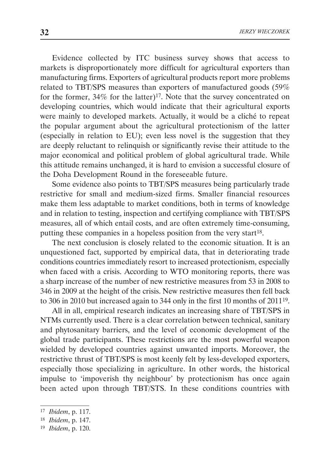Evidence collected by ITC business survey shows that access to markets is disproportionately more difficult for agricultural exporters than manufacturing firms. Exporters of agricultural products report more problems related to TBT/SPS measures than exporters of manufactured goods (59% for the former,  $34\%$  for the latter)<sup>17</sup>. Note that the survey concentrated on developing countries, which would indicate that their agricultural exports were mainly to developed markets. Actually, it would be a cliché to repeat the popular argument about the agricultural protectionism of the latter (especially in relation to EU); even less novel is the suggestion that they are deeply reluctant to relinquish or significantly revise their attitude to the major economical and political problem of global agricultural trade. While this attitude remains unchanged, it is hard to envision a successful closure of the Doha Development Round in the foreseeable future.

Some evidence also points to TBT/SPS measures being particularly trade restrictive for small and medium-sized firms. Smaller financial resources make them less adaptable to market conditions, both in terms of knowledge and in relation to testing, inspection and certifying compliance with TBT/SPS measures, all of which entail costs, and are often extremely time-consuming, putting these companies in a hopeless position from the very start<sup>18</sup>.

The next conclusion is closely related to the economic situation. It is an unquestioned fact, supported by empirical data, that in deteriorating trade conditions countries immediately resort to increased protectionism, especially when faced with a crisis. According to WTO monitoring reports, there was a sharp increase of the number of new restrictive measures from 53 in 2008 to 346 in 2009 at the height of the crisis. New restrictive measures then fell back to 306 in 2010 but increased again to 344 only in the first 10 months of 201119.

All in all, empirical research indicates an increasing share of TBT/SPS in NTMs currently used. There is a clear correlation between technical, sanitary and phytosanitary barriers, and the level of economic development of the global trade participants. These restrictions are the most powerful weapon wielded by developed countries against unwanted imports. Moreover, the restrictive thrust of TBT/SPS is most keenly felt by less-developed exporters, especially those specializing in agriculture. In other words, the historical impulse to 'impoverish thy neighbour' by protectionism has once again been acted upon through TBT/STS. In these conditions countries with

<sup>17</sup> *Ibidem*, p. 117.

<sup>18</sup> *Ibidem*, p. 147.

<sup>19</sup> *Ibidem*, p. 120.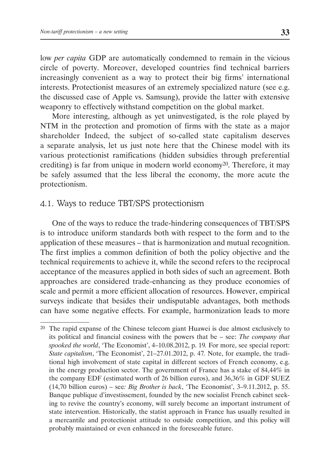low *per capita* GDP are automatically condemned to remain in the vicious circle of poverty. Moreover, developed countries find technical barriers increasingly convenient as a way to protect their big firms' international interests. Protectionist measures of an extremely specialized nature (see e.g. the discussed case of Apple vs. Samsung), provide the latter with extensive weaponry to effectively withstand competition on the global market.

More interesting, although as yet uninvestigated, is the role played by NTM in the protection and promotion of firms with the state as a major shareholder Indeed, the subject of so-called state capitalism deserves a separate analysis, let us just note here that the Chinese model with its various protectionist ramifications (hidden subsidies through preferential crediting) is far from unique in modern world economy20. Therefore, it may be safely assumed that the less liberal the economy, the more acute the protectionism.

# 4.1. Ways to reduce TBT/SPS protectionism

One of the ways to reduce the trade-hindering consequences of TBT/SPS is to introduce uniform standards both with respect to the form and to the application of these measures – that is harmonization and mutual recognition. The first implies a common definition of both the policy objective and the technical requirements to achieve it, while the second refers to the reciprocal acceptance of the measures applied in both sides of such an agreement. Both approaches are considered trade-enhancing as they produce economies of scale and permit a more efficient allocation of resources. However, empirical surveys indicate that besides their undisputable advantages, both methods can have some negative effects. For example, harmonization leads to more

<sup>20</sup> The rapid expanse of the Chinese telecom giant Huawei is due almost exclusively to its political and financial cosiness with the powers that be – see: *The company that spooked the world*, 'The Economist', 4–10.08.2012, p. 19*.* For more, see special report: *State capitalism*, 'The Economist', 21–27.01.2012, p. 47*.* Note, for example, the traditional high involvement of state capital in different sectors of French economy, e.g. in the energy production sector. The government of France has a stake of 84,44% in the company EDF (estimated worth of 26 billion euros), and 36,36% in GDF SUEZ (14,70 billion euros) – see*: Big Brother is back*, 'The Economist', 3–9.11.2012, p. 55. Banque publique d'investissement, founded by the new socialist French cabinet seeking to revive the country's economy, will surely become an important instrument of state intervention. Historically, the statist approach in France has usually resulted in a mercantile and protectionist attitude to outside competition, and this policy will probably maintained or even enhanced in the foreseeable future.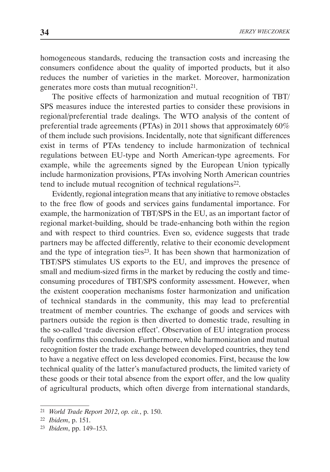homogeneous standards, reducing the transaction costs and increasing the consumers confidence about the quality of imported products, but it also reduces the number of varieties in the market. Moreover, harmonization generates more costs than mutual recognition<sup>21</sup>.

The positive effects of harmonization and mutual recognition of TBT/ SPS measures induce the interested parties to consider these provisions in regional/preferential trade dealings. The WTO analysis of the content of preferential trade agreements (PTAs) in 2011 shows that approximately 60% of them include such provisions. Incidentally, note that significant differences exist in terms of PTAs tendency to include harmonization of technical regulations between EU-type and North American-type agreements. For example, while the agreements signed by the European Union typically include harmonization provisions, PTAs involving North American countries tend to include mutual recognition of technical regulations<sup>22</sup>.

Evidently, regional integration means that any initiative to remove obstacles to the free flow of goods and services gains fundamental importance. For example, the harmonization of TBT/SPS in the EU, as an important factor of regional market-building, should be trade-enhancing both within the region and with respect to third countries. Even so, evidence suggests that trade partners may be affected differently, relative to their economic development and the type of integration ties23. It has been shown that harmonization of TBT/SPS stimulates US exports to the EU, and improves the presence of small and medium-sized firms in the market by reducing the costly and timeconsuming procedures of TBT/SPS conformity assessment. However, when the existent cooperation mechanisms foster harmonization and unification of technical standards in the community, this may lead to preferential treatment of member countries. The exchange of goods and services with partners outside the region is then diverted to domestic trade, resulting in the so-called 'trade diversion effect'. Observation of EU integration process fully confirms this conclusion. Furthermore, while harmonization and mutual recognition foster the trade exchange between developed countries, they tend to have a negative effect on less developed economies. First, because the low technical quality of the latter's manufactured products, the limited variety of these goods or their total absence from the export offer, and the low quality of agricultural products, which often diverge from international standards,

<sup>21</sup> *World Trade Report 2012*, *op. cit.*, p. 150.

<sup>22</sup> *Ibidem*, p. 151.

<sup>23</sup> *Ibidem*, pp. 149–153.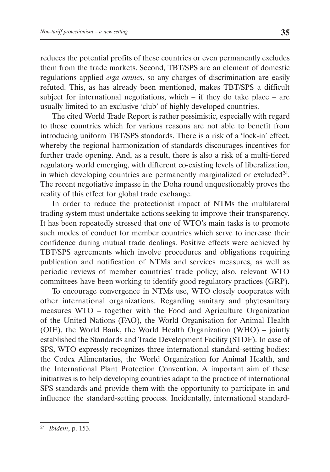reduces the potential profits of these countries or even permanently excludes them from the trade markets. Second, TBT/SPS are an element of domestic regulations applied *erga omnes*, so any charges of discrimination are easily refuted. This, as has already been mentioned, makes TBT/SPS a difficult subject for international negotiations, which  $-$  if they do take place  $-$  are usually limited to an exclusive 'club' of highly developed countries.

The cited World Trade Report is rather pessimistic, especially with regard to those countries which for various reasons are not able to benefit from introducing uniform TBT/SPS standards. There is a risk of a 'lock-in' effect, whereby the regional harmonization of standards discourages incentives for further trade opening. And, as a result, there is also a risk of a multi-tiered regulatory world emerging, with different co-existing levels of liberalization, in which developing countries are permanently marginalized or excluded<sup>24</sup>. The recent negotiative impasse in the Doha round unquestionably proves the reality of this effect for global trade exchange.

In order to reduce the protectionist impact of NTMs the multilateral trading system must undertake actions seeking to improve their transparency. It has been repeatedly stressed that one of WTO's main tasks is to promote such modes of conduct for member countries which serve to increase their confidence during mutual trade dealings. Positive effects were achieved by TBT/SPS agreements which involve procedures and obligations requiring publication and notification of NTMs and services measures, as well as periodic reviews of member countries' trade policy; also, relevant WTO committees have been working to identify good regulatory practices (GRP).

To encourage convergence in NTMs use, WTO closely cooperates with other international organizations. Regarding sanitary and phytosanitary measures WTO – together with the Food and Agriculture Organization of the United Nations (FAO), the World Organisation for Animal Health (OIE), the World Bank, the World Health Organization (WHO) – jointly established the Standards and Trade Development Facility (STDF). In case of SPS, WTO expressly recognizes three international standard-setting bodies: the Codex Alimentarius, the World Organization for Animal Health, and the International Plant Protection Convention. A important aim of these initiatives is to help developing countries adapt to the practice of international SPS standards and provide them with the opportunity to participate in and influence the standard-setting process. Incidentally, international standard-

<sup>24</sup> *Ibidem*, p. 153.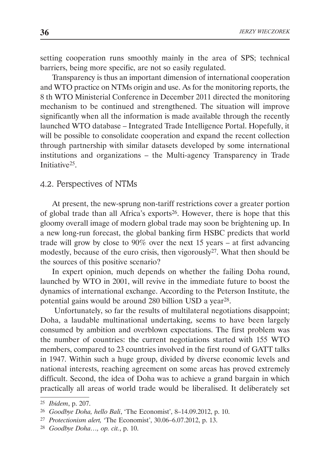setting cooperation runs smoothly mainly in the area of SPS; technical barriers, being more specific, are not so easily regulated.

Transparency is thus an important dimension of international cooperation and WTO practice on NTMs origin and use. As for the monitoring reports, the 8 th WTO Ministerial Conference in December 2011 directed the monitoring mechanism to be continued and strengthened. The situation will improve significantly when all the information is made available through the recently launched WTO database – Integrated Trade Intelligence Portal. Hopefully, it will be possible to consolidate cooperation and expand the recent collection through partnership with similar datasets developed by some international institutions and organizations – the Multi-agency Transparency in Trade Initiative25.

# 4.2. Perspectives of NTMs

At present, the new-sprung non-tariff restrictions cover a greater portion of global trade than all Africa's exports26. However, there is hope that this gloomy overall image of modern global trade may soon be brightening up. In a new long-run forecast, the global banking firm HSBC predicts that world trade will grow by close to 90% over the next 15 years – at first advancing modestly, because of the euro crisis, then vigorously27. What then should be the sources of this positive scenario?

In expert opinion, much depends on whether the failing Doha round, launched by WTO in 2001, will revive in the immediate future to boost the dynamics of international exchange. According to the Peterson Institute, the potential gains would be around 280 billion USD a year<sup>28</sup>.

 Unfortunately, so far the results of multilateral negotiations disappoint; Doha, a laudable multinational undertaking, seems to have been largely consumed by ambition and overblown expectations. The first problem was the number of countries: the current negotiations started with 155 WTO members, compared to 23 countries involved in the first round of GATT talks in 1947. Within such a huge group, divided by diverse economic levels and national interests, reaching agreement on some areas has proved extremely difficult. Second, the idea of Doha was to achieve a grand bargain in which practically all areas of world trade would be liberalised. It deliberately set

<sup>25</sup> *Ibidem*, p. 207.

<sup>26</sup> *Goodbye Doha, hello Bali*, 'The Economist', 8–14.09.2012, p. 10.

<sup>27</sup> *Protectionism alert,* 'The Economist', 30.06–6.07.2012, p. 13.

<sup>28</sup> *Goodbye Doha…, op. cit.*, p. 10.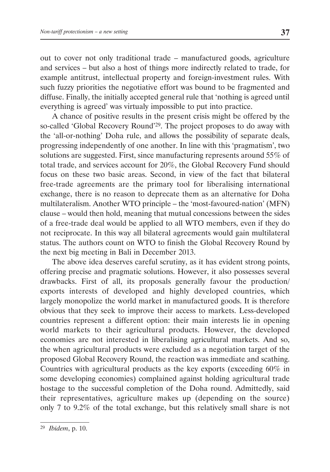out to cover not only traditional trade – manufactured goods, agriculture and services – but also a host of things more indirectly related to trade, for example antitrust, intellectual property and foreign-investment rules. With such fuzzy priorities the negotiative effort was bound to be fragmented and diffuse. Finally, the initially accepted general rule that 'nothing is agreed until everything is agreed' was virtualy impossible to put into practice.

A chance of positive results in the present crisis might be offered by the so-called 'Global Recovery Round'<sup>29</sup>. The project proposes to do away with the 'all-or-nothing' Doha rule, and allows the possibility of separate deals, progressing independently of one another. In line with this 'pragmatism', two solutions are suggested. First, since manufacturing represents around 55% of total trade, and services account for 20%, the Global Recovery Fund should focus on these two basic areas. Second, in view of the fact that bilateral free-trade agreements are the primary tool for liberalising international exchange, there is no reason to deprecate them as an alternative for Doha multilateralism. Another WTO principle – the 'most-favoured-nation' (MFN) clause – would then hold, meaning that mutual concessions between the sides of a free-trade deal would be applied to all WTO members, even if they do not reciprocate. In this way all bilateral agreements would gain multilateral status. The authors count on WTO to finish the Global Recovery Round by the next big meeting in Bali in December 2013.

The above idea deserves careful scrutiny, as it has evident strong points, offering precise and pragmatic solutions. However, it also possesses several drawbacks. First of all, its proposals generally favour the production/ exports interests of developed and highly developed countries, which largely monopolize the world market in manufactured goods. It is therefore obvious that they seek to improve their access to markets. Less-developed countries represent a different option: their main interests lie in opening world markets to their agricultural products. However, the developed economies are not interested in liberalising agricultural markets. And so, the when agricultural products were excluded as a negotiation target of the proposed Global Recovery Round, the reaction was immediate and scathing. Countries with agricultural products as the key exports (exceeding 60% in some developing economies) complained against holding agricultural trade hostage to the successful completion of the Doha round. Admittedly, said their representatives, agriculture makes up (depending on the source) only 7 to 9.2% of the total exchange, but this relatively small share is not

<sup>29</sup> *Ibidem*, p. 10.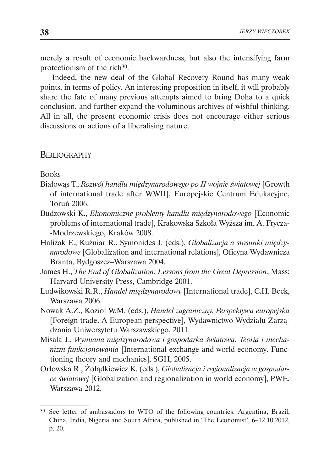merely a result of economic backwardness, but also the intensifying farm protectionism of the rich<sup>30</sup>.

Indeed, the new deal of the Global Recovery Round has many weak points, in terms of policy. An interesting proposition in itself, it will probably share the fate of many previous attempts aimed to bring Doha to a quick conclusion, and further expand the voluminous archives of wishful thinking. All in all, the present economic crisis does not encourage either serious discussions or actions of a liberalising nature.

**BIBLIOGRAPHY** 

Books

- Białowąs T., *Rozwój handlu międzynarodowego po II wojnie światowej* [Growth of international trade after WWII], Europejskie Centrum Edukacyjne, Toruń 2006.
- Budzowski K., *Ekonomiczne problemy handlu międzynarodowego* [Economic problems of international trade], Krakowska Szkoła Wyższa im. A. Frycza- -Modrzewskiego, Kraków 2008.
- Haliżak E., Kuźniar R., Symonides J. (eds.), *Globalizacja a stosunki międzynarodowe* [Globalization and international relations], Oficyna Wydawnicza Branta, Bydgoszcz–Warszawa 2004.
- James H., *The End of Globalization: Lessons from the Great Depression*, Mass: Harvard University Press, Cambridge 2001.
- Ludwikowski R.R., *Handel międzynarodowy* [International trade], C.H. Beck, Warszawa 2006.
- Nowak A.Z., Kozioł W.M. (eds.), *Handel zagraniczny. Perspektywa europejska*  [Foreign trade. A European perspective], Wydawnictwo Wydziału Zarządzania Uniwersytetu Warszawskiego, 2011.
- Misala J., *Wymiana międzynarodowa i gospodarka światowa. Teoria i mechanizm funkcjonowania* [International exchange and world economy. Functioning theory and mechanics], SGH, 2005.
- Orłowska R., Żołądkiewicz K. (eds.), *Globalizacja i regionalizacja w gospodarce światowej* [Globalization and regionalization in world economy], PWE, Warszawa 2012.

<sup>30</sup> See letter of ambassadors to WTO of the following countries: Argentina, Brazil, China, India, Nigeria and South Africa, published in 'The Economist', 6–12.10.2012, p. 20.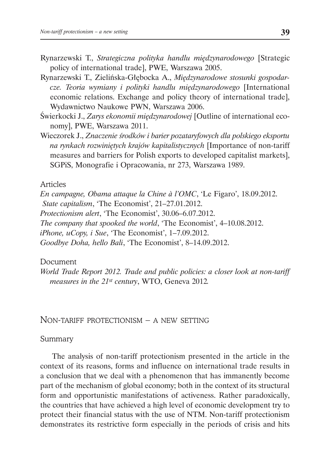- Rynarzewski T., *Strategiczna polityka handlu międzynarodowego* [Strategic policy of international trade], PWE, Warszawa 2005.
- Rynarzewski T., Zielińska-Głębocka A., *Międzynarodowe stosunki gospodarcze. Teoria wymiany i polityki handlu międzynarodowego* [International economic relations. Exchange and policy theory of international trade], Wydawnictwo Naukowe PWN, Warszawa 2006.
- Świerkocki J., *Zarys ekonomii międzynarodowej* [Outline of international economy], PWE, Warszawa 2011.
- Wieczorek J., *Znaczenie środków i barier pozataryfowych dla polskiego eksportu na rynkach rozwiniętych krajów kapitalistycznych* [Importance of non-tariff measures and barriers for Polish exports to developed capitalist markets], SGPiS, Monografie i Opracowania, nr 273, Warszawa 1989.

### Articles

*En campagne, Obama attaque la Chine à l'OMC*, 'Le Figaro', 18.09.2012. *State capitalism*, 'The Economist', 21–27.01.2012. *Protectionism alert*, 'The Economist', 30.06–6.07.2012. *The company that spooked the world*, 'The Economist', 4–10.08.2012. *iPhone, uCopy, i Sue*, 'The Economist', 1–7.09.2012. *Goodbye Doha, hello Bali*, 'The Economist', 8–14.09.2012.

### Document

*World Trade Report 2012. Trade and public policies: a closer look at non-tariff measures in the 21st century*, WTO, Geneva 2012*.*

Non-tariff protectionism – a new setting

### Summary

The analysis of non-tariff protectionism presented in the article in the context of its reasons, forms and influence on international trade results in a conclusion that we deal with a phenomenon that has immanently become part of the mechanism of global economy; both in the context of its structural form and opportunistic manifestations of activeness. Rather paradoxically, the countries that have achieved a high level of economic development try to protect their financial status with the use of NTM. Non-tariff protectionism demonstrates its restrictive form especially in the periods of crisis and hits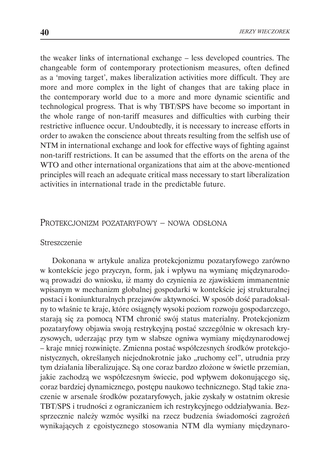the weaker links of international exchange – less developed countries. The changeable form of contemporary protectionism measures, often defined as a 'moving target', makes liberalization activities more difficult. They are more and more complex in the light of changes that are taking place in the contemporary world due to a more and more dynamic scientific and technological progress. That is why TBT/SPS have become so important in the whole range of non-tariff measures and difficulties with curbing their restrictive influence occur. Undoubtedly, it is necessary to increase efforts in order to awaken the conscience about threats resulting from the selfish use of NTM in international exchange and look for effective ways of fighting against non-tariff restrictions. It can be assumed that the efforts on the arena of the WTO and other international organizations that aim at the above-mentioned principles will reach an adequate critical mass necessary to start liberalization activities in international trade in the predictable future.

### Protekcjonizm pozataryfowy – nowa odsłona

#### Streszczenie

Dokonana w artykule analiza protekcjonizmu pozataryfowego zarówno w kontekście jego przyczyn, form, jak i wpływu na wymianę międzynarodową prowadzi do wniosku, iż mamy do czynienia ze zjawiskiem immanentnie wpisanym w mechanizm globalnej gospodarki w kontekście jej strukturalnej postaci i koniunkturalnych przejawów aktywności. W sposób dość paradoksalny to właśnie te kraje, które osiągnęły wysoki poziom rozwoju gospodarczego, starają się za pomocą NTM chronić swój status materialny. Protekcjonizm pozataryfowy objawia swoją restrykcyjną postać szczególnie w okresach kryzysowych, uderzając przy tym w słabsze ogniwa wymiany międzynarodowej – kraje mniej rozwinięte. Zmienna postać współczesnych środków protekcjonistycznych, określanych niejednokrotnie jako "ruchomy cel", utrudnia przy tym działania liberalizujące. Są one coraz bardzo złożone w świetle przemian, jakie zachodzą we współczesnym świecie, pod wpływem dokonującego się, coraz bardziej dynamicznego, postępu naukowo technicznego. Stąd takie znaczenie w arsenale środków pozataryfowych, jakie zyskały w ostatnim okresie TBT/SPS i trudności z ograniczaniem ich restrykcyjnego oddziaływania. Bezsprzecznie należy wzmóc wysiłki na rzecz budzenia świadomości zagrożeń wynikających z egoistycznego stosowania NTM dla wymiany międzynaro